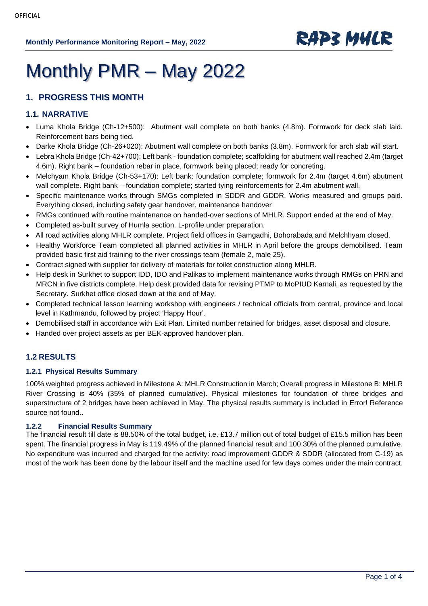

# Monthly PMR – May 2022

### **1. PROGRESS THIS MONTH**

### **1.1. NARRATIVE**

- Luma Khola Bridge (Ch-12+500): Abutment wall complete on both banks (4.8m). Formwork for deck slab laid. Reinforcement bars being tied.
- Darke Khola Bridge (Ch-26+020): Abutment wall complete on both banks (3.8m). Formwork for arch slab will start.
- Lebra Khola Bridge (Ch-42+700): Left bank foundation complete; scaffolding for abutment wall reached 2.4m (target 4.6m). Right bank – foundation rebar in place, formwork being placed; ready for concreting.
- Melchyam Khola Bridge (Ch-53+170): Left bank: foundation complete; formwork for 2.4m (target 4.6m) abutment wall complete. Right bank – foundation complete; started tying reinforcements for 2.4m abutment wall.
- Specific maintenance works through SMGs completed in SDDR and GDDR. Works measured and groups paid. Everything closed, including safety gear handover, maintenance handover
- RMGs continued with routine maintenance on handed-over sections of MHLR. Support ended at the end of May.
- Completed as-built survey of Humla section. L-profile under preparation.
- All road activities along MHLR complete. Project field offices in Gamgadhi, Bohorabada and Melchhyam closed.
- Healthy Workforce Team completed all planned activities in MHLR in April before the groups demobilised. Team provided basic first aid training to the river crossings team (female 2, male 25).
- Contract signed with supplier for delivery of materials for toilet construction along MHLR.
- Help desk in Surkhet to support IDD, IDO and Palikas to implement maintenance works through RMGs on PRN and MRCN in five districts complete. Help desk provided data for revising PTMP to MoPIUD Karnali, as requested by the Secretary. Surkhet office closed down at the end of May.
- Completed technical lesson learning workshop with engineers / technical officials from central, province and local level in Kathmandu, followed by project 'Happy Hour'.
- Demobilised staff in accordance with Exit Plan. Limited number retained for bridges, asset disposal and closure.
- Handed over project assets as per BEK-approved handover plan.

### **1.2 RESULTS**

### **1.2.1 Physical Results Summary**

100% weighted progress achieved in Milestone A: MHLR Construction in March; Overall progress in Milestone B: MHLR River Crossing is 40% (35% of planned cumulative). Physical milestones for foundation of three bridges and superstructure of 2 bridges have been achieved in May. The physical results summary is included in Error! Reference source not found.**.**

### **1.2.2 Financial Results Summary**

The financial result till date is 88.50% of the total budget, i.e. £13.7 million out of total budget of £15.5 million has been spent. The financial progress in May is 119.49% of the planned financial result and 100.30% of the planned cumulative. No expenditure was incurred and charged for the activity: road improvement GDDR & SDDR (allocated from C-19) as most of the work has been done by the labour itself and the machine used for few days comes under the main contract.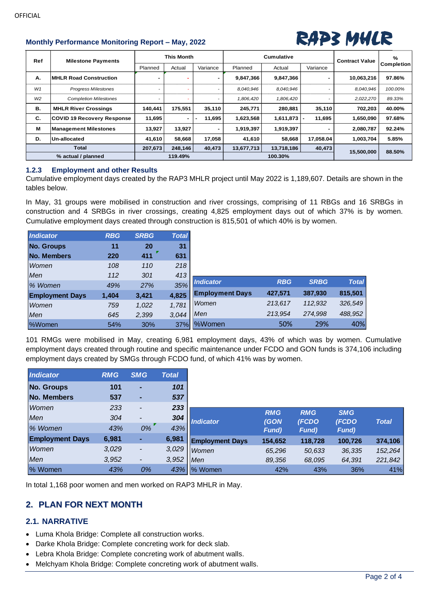### **Monthly Performance Monitoring Report – May, 2022** *RAP3 MHLR*



| Ref            | <b>Milestone Payments</b>         | <b>This Month</b>        |                |          |            | Cumulative | <b>Contract Value</b> | $\frac{9}{6}$ |                   |
|----------------|-----------------------------------|--------------------------|----------------|----------|------------|------------|-----------------------|---------------|-------------------|
|                |                                   | Planned                  | Actual         | Variance | Planned    | Actual     | Variance              |               | <b>Completion</b> |
| Α.             | <b>IMHLR Road Construction</b>    |                          |                |          | 9,847,366  | 9,847,366  |                       | 10,063,216    | 97.86%            |
| W1             | <b>Progress Milestones</b>        |                          |                |          | 8,040,946  | 8.040.946  |                       | 8,040,946     | 100.00%           |
| W <sub>2</sub> | <b>Completion Milestones</b>      | $\overline{\phantom{0}}$ |                |          | 1,806,420  | 1,806,420  |                       | 2,022,270     | 89.33%            |
| В.             | <b>MHLR River Crossings</b>       | 140,441                  | 175.551        | 35,110   | 245,771    | 280,881    | 35,110                | 702,203       | 40.00%            |
| C.             | <b>COVID 19 Recovery Response</b> | 11,695                   | $\blacksquare$ | 11.695   | 1,623,568  | 1,611,873  | 11,695                | 1,650,090     | 97.68%            |
| M              | <b>Management Milestones</b>      | 13,927                   | 13,927         |          | 1,919,397  | 1,919,397  |                       | 2,080,787     | 92.24%            |
| D.             | Un-allocated                      | 41,610                   | 58,668         | 17,058   | 41,610     | 58,668     | 17,058.04             | 1,003,704     | 5.85%             |
|                | <b>Total</b>                      |                          | 248,146        | 40,473   | 13,677,713 | 13,718,186 | 40,473                | 15,500,000    | 88.50%            |
|                | % actual / planned                | 207,673<br>119.49%       |                |          |            | 100.30%    |                       |               |                   |

### **1.2.3 Employment and other Results**

Cumulative employment days created by the RAP3 MHLR project until May 2022 is 1,189,607. Details are shown in the tables below.

In May, 31 groups were mobilised in construction and river crossings, comprising of 11 RBGs and 16 SRBGs in construction and 4 SRBGs in river crossings, creating 4,825 employment days out of which 37% is by women. Cumulative employment days created through construction is 815,501 of which 40% is by women.

| Indicator              | <b>RBG</b> | <b>SRBG</b> | <b>Total</b> |                        |            |             |              |
|------------------------|------------|-------------|--------------|------------------------|------------|-------------|--------------|
| No. Groups             | 11         | 20          | 31           |                        |            |             |              |
| No. Members            | 220        | 411         | 631          |                        |            |             |              |
| Women                  | 108        | 110         | 218          |                        |            |             |              |
| Men                    | 112        | 301         | 413          |                        |            |             |              |
| % Women                | 49%        | 27%         | 35%          | <b>Indicator</b>       | <b>RBG</b> | <b>SRBG</b> | <b>Total</b> |
| <b>Employment Days</b> | 1,404      | 3,421       | 4,825        | <b>Employment Days</b> | 427,571    | 387,930     | 815,501      |
| Women                  | 759        | 1,022       | 1,781        | Women                  | 213,617    | 112,932     | 326,549      |
| Men                    | 645        | 2,399       | 3.044        | Men                    | 213,954    | 274,998     | 488,952      |
| <b>%Women</b>          | 54%        | 30%         | 37%          | <b>%Women</b>          | 50%        | 29%         | 40%          |

101 RMGs were mobilised in May, creating 6,981 employment days, 43% of which was by women. Cumulative employment days created through routine and specific maintenance under FCDO and GON funds is 374,106 including employment days created by SMGs through FCDO fund, of which 41% was by women.

| <b>Indicator</b>       | <b>RMG</b> | <b>SMG</b>               | <b>Total</b> |                        |               |               |               |              |
|------------------------|------------|--------------------------|--------------|------------------------|---------------|---------------|---------------|--------------|
| No. Groups             | 101        | ٠                        | 101          |                        |               |               |               |              |
| No. Members            | 537        | ٠                        | 537          |                        |               |               |               |              |
| Women                  | 233        | $\overline{\phantom{a}}$ | 233          |                        | <b>RMG</b>    | <b>RMG</b>    | <b>SMG</b>    |              |
| Men                    | 304        | $\overline{\phantom{a}}$ | 304          | <b>Indicator</b>       | (GON          | (FCDO)        | (FCDO         | <b>Total</b> |
| % Women                | 43%        | 0%                       | 43%          |                        | <b>Fund</b> ) | <b>Fund</b> ) | <b>Fund</b> ) |              |
| <b>Employment Days</b> | 6,981      | ٠                        | 6,981        | <b>Employment Days</b> | 154,652       | 118,728       | 100,726       | 374,106      |
| Women                  | 3,029      | -                        | 3,029        | Women                  | 65,296        | 50,633        | 36,335        | 152,264      |
| Men                    | 3,952      | $\overline{\phantom{a}}$ | 3,952        | Men                    | 89,356        | 68,095        | 64,391        | 221,842      |
| % Women                | 43%        | 0%                       | 43%          | % Women                | 42%           | 43%           | 36%           | 41%          |

In total 1,168 poor women and men worked on RAP3 MHLR in May.

### **2. PLAN FOR NEXT MONTH**

### **2.1. NARRATIVE**

- Luma Khola Bridge: Complete all construction works.
- Darke Khola Bridge: Complete concreting work for deck slab.
- Lebra Khola Bridge: Complete concreting work of abutment walls.
- Melchyam Khola Bridge: Complete concreting work of abutment walls.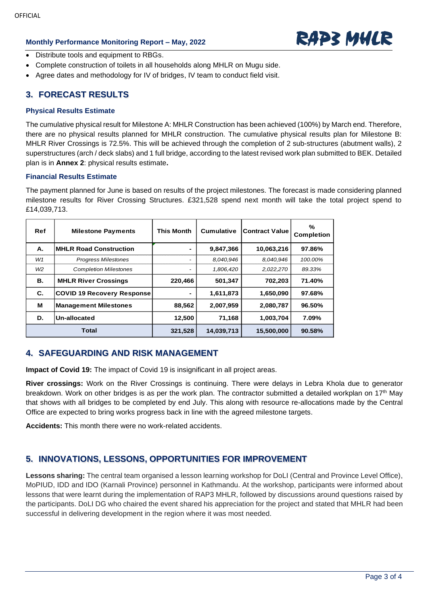## **Monthly Performance Monitoring Report – May, 2022** *RAP3 MHLR*



- Distribute tools and equipment to RBGs.
- Complete construction of toilets in all households along MHLR on Mugu side.
- Agree dates and methodology for IV of bridges, IV team to conduct field visit.

### **3. FORECAST RESULTS**

#### **Physical Results Estimate**

The cumulative physical result for Milestone A: MHLR Construction has been achieved (100%) by March end. Therefore, there are no physical results planned for MHLR construction. The cumulative physical results plan for Milestone B: MHLR River Crossings is 72.5%. This will be achieved through the completion of 2 sub-structures (abutment walls), 2 superstructures (arch / deck slabs) and 1 full bridge, according to the latest revised work plan submitted to BEK. Detailed plan is in **Annex 2**[: physical results estimate](#page-3-0)**.** 

### **Financial Results Estimate**

The payment planned for June is based on results of the project milestones. The forecast is made considering planned milestone results for River Crossing Structures. £321,528 spend next month will take the total project spend to £14,039,713.

| Ref            | <b>Milestone Payments</b>         | <b>This Month</b> | <b>Cumulative</b> | <b>Contract Value</b> | %<br><b>Completion</b> |
|----------------|-----------------------------------|-------------------|-------------------|-----------------------|------------------------|
| А.             | <b>MHLR Road Construction</b>     |                   | 9,847,366         | 10.063,216            | 97.86%                 |
| W1             | <b>Progress Milestones</b>        | -                 | 8,040,946         | 8.040.946             | 100.00%                |
| W <sub>2</sub> | <b>Completion Milestones</b>      |                   | 1,806,420         | 2,022,270             | 89.33%                 |
| В.             | <b>MHLR River Crossings</b>       | 220,466           | 501,347           | 702,203               | 71.40%                 |
| C.             | <b>COVID 19 Recovery Response</b> | ۰                 | 1,611,873         | 1,650,090             | 97.68%                 |
| М              | <b>Management Milestones</b>      | 88,562            | 2,007,959         | 2,080,787             | 96.50%                 |
| D.             | Un-allocated                      | 12,500            | 71,168            | 1,003,704             | 7.09%                  |
|                | <b>Total</b>                      | 321,528           | 14,039,713        | 15,500,000            | 90.58%                 |

### **4. SAFEGUARDING AND RISK MANAGEMENT**

**Impact of Covid 19:** The impact of Covid 19 is insignificant in all project areas.

**River crossings:** Work on the River Crossings is continuing. There were delays in Lebra Khola due to generator breakdown. Work on other bridges is as per the work plan. The contractor submitted a detailed workplan on 17th May that shows with all bridges to be completed by end July. This along with resource re-allocations made by the Central Office are expected to bring works progress back in line with the agreed milestone targets.

**Accidents:** This month there were no work-related accidents.

### **5. INNOVATIONS, LESSONS, OPPORTUNITIES FOR IMPROVEMENT**

**Lessons sharing:** The central team organised a lesson learning workshop for DoLI (Central and Province Level Office), MoPIUD, IDD and IDO (Karnali Province) personnel in Kathmandu. At the workshop, participants were informed about lessons that were learnt during the implementation of RAP3 MHLR, followed by discussions around questions raised by the participants. DoLI DG who chaired the event shared his appreciation for the project and stated that MHLR had been successful in delivering development in the region where it was most needed.